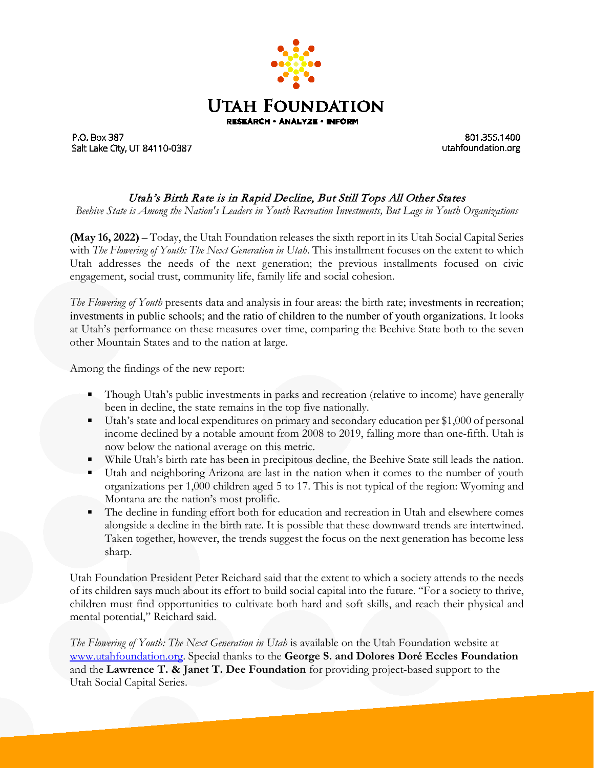

P.O. Box 387 Salt Lake City, UT 84110-0387

801.355.1400 utahfoundation.org

## Utah's Birth Rate is in Rapid Decline, But Still Tops All Other States

*Beehive State is Among the Nation's Leaders in Youth Recreation Investments, But Lags in Youth Organizations*

**(May 16, 2022)** – Today, the Utah Foundation releases the sixth report in its Utah Social Capital Series with *The Flowering of Youth: The Next Generation in Utah*. This installment focuses on the extent to which Utah addresses the needs of the next generation; the previous installments focused on civic engagement, social trust, community life, family life and social cohesion.

*The Flowering of Youth* presents data and analysis in four areas: the birth rate; investments in recreation; investments in public schools; and the ratio of children to the number of youth organizations. It looks at Utah's performance on these measures over time, comparing the Beehive State both to the seven other Mountain States and to the nation at large.

Among the findings of the new report:

- **Though Utah's public investments in parks and recreation (relative to income) have generally** been in decline, the state remains in the top five nationally.
- Utah's state and local expenditures on primary and secondary education per \$1,000 of personal income declined by a notable amount from 2008 to 2019, falling more than one-fifth. Utah is now below the national average on this metric.
- While Utah's birth rate has been in precipitous decline, the Beehive State still leads the nation.
- Utah and neighboring Arizona are last in the nation when it comes to the number of youth organizations per 1,000 children aged 5 to 17. This is not typical of the region: Wyoming and Montana are the nation's most prolific.
- The decline in funding effort both for education and recreation in Utah and elsewhere comes alongside a decline in the birth rate. It is possible that these downward trends are intertwined. Taken together, however, the trends suggest the focus on the next generation has become less sharp.

Utah Foundation President Peter Reichard said that the extent to which a society attends to the needs of its children says much about its effort to build social capital into the future. "For a society to thrive, children must find opportunities to cultivate both hard and soft skills, and reach their physical and mental potential," Reichard said.

*The Flowering of Youth: The Next Generation in Utah* is available on the Utah Foundation website at [www.utahfoundation.org.](http://www.utahfoundation.org/) Special thanks to the **George S. and Dolores Doré Eccles Foundation**  and the **Lawrence T. & Janet T. Dee Foundation** for providing project-based support to the Utah Social Capital Series.